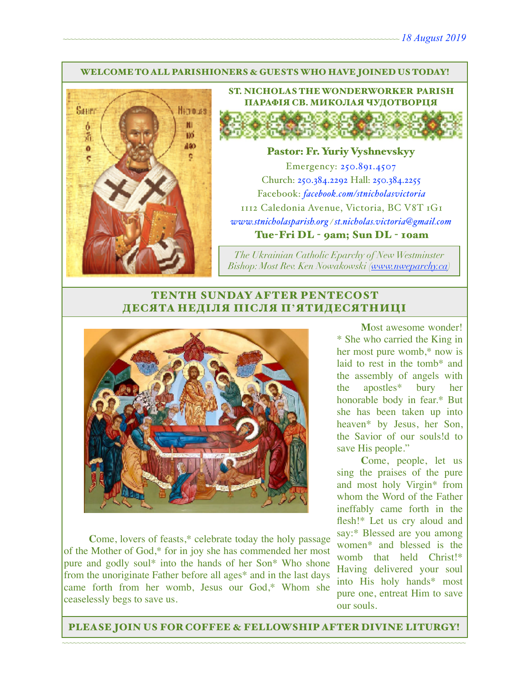#### WELCOME TO ALL PARISHIONERS & GUESTS WHO HAVE JOINED US TODAY!



ST. NICHOLAS THE WONDERWORKER PARISH ПАРАФІЯ СВ. МИКОЛАЯ ЧУДОТВОРЦЯ

#### Pastor: Fr. Yuriy Vyshnevskyy

Emergency: 250.891.4507 Church: 250.384.2292 Hall: 250.384.2255 Facebook: *[facebook.com/stnicholasvictoria](http://facebook.com/stnicholasvictoria)* 1112 Caledonia Avenue, Victoria, BC V8T 1G1 *[www.stnicholasparish.org](http://www.stnicholasparish.org) / [st.nicholas.victoria@gmail.com](mailto:st.nicholas.victoria@gmail.com)* Tue-Fri DL - 9am; Sun DL - 10am

*The Ukrainian Catholic Eparchy of New Westminster Bishop: Most Rev. Ken Nowakowski ([www.nweparchy.ca](http://www.nweparchy.ca))*

### TENTH SUNDAY AFTER PENTECOST ДЕСЯТА НЕДІЛЯ ПІСЛЯ П**'**ЯТИДЕСЯТНИЦІ



**C**ome, lovers of feasts,\* celebrate today the holy passage of the Mother of God,\* for in joy she has commended her most pure and godly soul\* into the hands of her Son\* Who shone from the unoriginate Father before all ages\* and in the last days came forth from her womb, Jesus our God,\* Whom she ceaselessly begs to save us.

**M**ost awesome wonder! \* She who carried the King in her most pure womb,\* now is laid to rest in the tomb\* and the assembly of angels with the apostles\* bury her honorable body in fear.\* But she has been taken up into heaven\* by Jesus, her Son, the Savior of our souls!d to save His people."

**C**ome, people, let us sing the praises of the pure and most holy Virgin\* from whom the Word of the Father ineffably came forth in the flesh!\* Let us cry aloud and say:\* Blessed are you among women\* and blessed is the womb that held Christ!\* Having delivered your soul into His holy hands\* most pure one, entreat Him to save our souls.

~~~~~~~~~~~~~~~~~~~~~~~~~~~~~~~~~~~~~~~~~~~~~~~~~~~~~~~~~~~~~~~~~~~~~~~~~~~~~~~~~~~~~~~~~~~~~~~~~~~~~~~~~~~~ PLEASE JOIN US FOR COFFEE & FELLOWSHIP AFTER DIVINE LITURGY!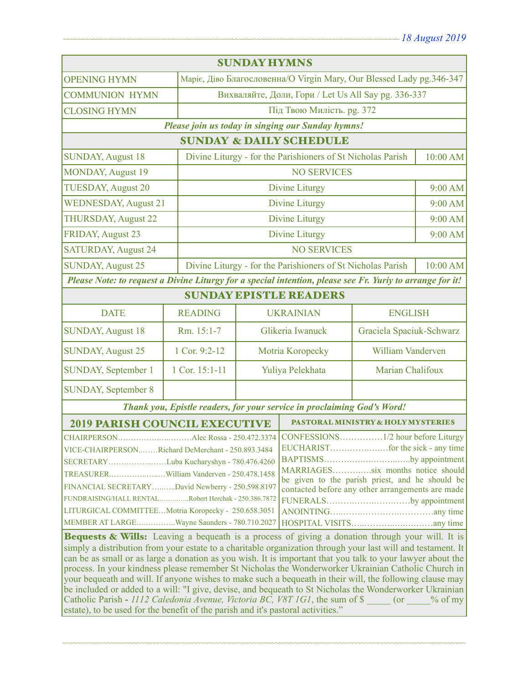| <b>SUNDAY HYMNS</b>                                                                                                                                                                                                                                                                                                                                                                                                                                                                                                                                                                                                                                                                                                                                                                                                                                                                                                                                                                                                                                                                                                                                                                                                                                                    |                |                                                                         |                                                                         |                   |         |
|------------------------------------------------------------------------------------------------------------------------------------------------------------------------------------------------------------------------------------------------------------------------------------------------------------------------------------------------------------------------------------------------------------------------------------------------------------------------------------------------------------------------------------------------------------------------------------------------------------------------------------------------------------------------------------------------------------------------------------------------------------------------------------------------------------------------------------------------------------------------------------------------------------------------------------------------------------------------------------------------------------------------------------------------------------------------------------------------------------------------------------------------------------------------------------------------------------------------------------------------------------------------|----------------|-------------------------------------------------------------------------|-------------------------------------------------------------------------|-------------------|---------|
| <b>OPENING HYMN</b>                                                                                                                                                                                                                                                                                                                                                                                                                                                                                                                                                                                                                                                                                                                                                                                                                                                                                                                                                                                                                                                                                                                                                                                                                                                    |                |                                                                         | Маріє, Діво Благословенна/О Virgin Mary, Our Blessed Lady pg.346-347    |                   |         |
| <b>COMMUNION HYMN</b>                                                                                                                                                                                                                                                                                                                                                                                                                                                                                                                                                                                                                                                                                                                                                                                                                                                                                                                                                                                                                                                                                                                                                                                                                                                  |                | Вихваляйте, Доли, Гори / Let Us All Say pg. 336-337                     |                                                                         |                   |         |
| <b>CLOSING HYMN</b>                                                                                                                                                                                                                                                                                                                                                                                                                                                                                                                                                                                                                                                                                                                                                                                                                                                                                                                                                                                                                                                                                                                                                                                                                                                    |                | Під Твою Милість. рg. 372                                               |                                                                         |                   |         |
| Please join us today in singing our Sunday hymns!                                                                                                                                                                                                                                                                                                                                                                                                                                                                                                                                                                                                                                                                                                                                                                                                                                                                                                                                                                                                                                                                                                                                                                                                                      |                |                                                                         |                                                                         |                   |         |
| <b>SUNDAY &amp; DAILY SCHEDULE</b>                                                                                                                                                                                                                                                                                                                                                                                                                                                                                                                                                                                                                                                                                                                                                                                                                                                                                                                                                                                                                                                                                                                                                                                                                                     |                |                                                                         |                                                                         |                   |         |
| <b>SUNDAY, August 18</b>                                                                                                                                                                                                                                                                                                                                                                                                                                                                                                                                                                                                                                                                                                                                                                                                                                                                                                                                                                                                                                                                                                                                                                                                                                               |                |                                                                         | Divine Liturgy - for the Parishioners of St Nicholas Parish<br>10:00 AM |                   |         |
| <b>NO SERVICES</b><br><b>MONDAY, August 19</b>                                                                                                                                                                                                                                                                                                                                                                                                                                                                                                                                                                                                                                                                                                                                                                                                                                                                                                                                                                                                                                                                                                                                                                                                                         |                |                                                                         |                                                                         |                   |         |
| <b>TUESDAY, August 20</b>                                                                                                                                                                                                                                                                                                                                                                                                                                                                                                                                                                                                                                                                                                                                                                                                                                                                                                                                                                                                                                                                                                                                                                                                                                              |                | <b>Divine Liturgy</b>                                                   |                                                                         |                   |         |
| <b>WEDNESDAY, August 21</b>                                                                                                                                                                                                                                                                                                                                                                                                                                                                                                                                                                                                                                                                                                                                                                                                                                                                                                                                                                                                                                                                                                                                                                                                                                            |                | Divine Liturgy                                                          |                                                                         |                   | 9:00 AM |
| <b>THURSDAY, August 22</b>                                                                                                                                                                                                                                                                                                                                                                                                                                                                                                                                                                                                                                                                                                                                                                                                                                                                                                                                                                                                                                                                                                                                                                                                                                             |                | Divine Liturgy                                                          |                                                                         |                   | 9:00 AM |
| <b>FRIDAY, August 23</b>                                                                                                                                                                                                                                                                                                                                                                                                                                                                                                                                                                                                                                                                                                                                                                                                                                                                                                                                                                                                                                                                                                                                                                                                                                               |                |                                                                         | Divine Liturgy                                                          |                   | 9:00 AM |
| <b>SATURDAY, August 24</b>                                                                                                                                                                                                                                                                                                                                                                                                                                                                                                                                                                                                                                                                                                                                                                                                                                                                                                                                                                                                                                                                                                                                                                                                                                             |                | <b>NO SERVICES</b>                                                      |                                                                         |                   |         |
| <b>SUNDAY, August 25</b>                                                                                                                                                                                                                                                                                                                                                                                                                                                                                                                                                                                                                                                                                                                                                                                                                                                                                                                                                                                                                                                                                                                                                                                                                                               |                | Divine Liturgy - for the Parishioners of St Nicholas Parish<br>10:00 AM |                                                                         |                   |         |
| Please Note: to request a Divine Liturgy for a special intention, please see Fr. Yuriy to arrange for it!                                                                                                                                                                                                                                                                                                                                                                                                                                                                                                                                                                                                                                                                                                                                                                                                                                                                                                                                                                                                                                                                                                                                                              |                |                                                                         |                                                                         |                   |         |
| <b>SUNDAY EPISTLE READERS</b>                                                                                                                                                                                                                                                                                                                                                                                                                                                                                                                                                                                                                                                                                                                                                                                                                                                                                                                                                                                                                                                                                                                                                                                                                                          |                |                                                                         |                                                                         |                   |         |
| <b>DATE</b>                                                                                                                                                                                                                                                                                                                                                                                                                                                                                                                                                                                                                                                                                                                                                                                                                                                                                                                                                                                                                                                                                                                                                                                                                                                            | <b>READING</b> |                                                                         | <b>UKRAINIAN</b><br><b>ENGLISH</b>                                      |                   |         |
| <b>SUNDAY, August 18</b>                                                                                                                                                                                                                                                                                                                                                                                                                                                                                                                                                                                                                                                                                                                                                                                                                                                                                                                                                                                                                                                                                                                                                                                                                                               | Rm. 15:1-7     | Glikeria Iwanuck<br>Graciela Spaciuk-Schwarz                            |                                                                         |                   |         |
| <b>SUNDAY, August 25</b>                                                                                                                                                                                                                                                                                                                                                                                                                                                                                                                                                                                                                                                                                                                                                                                                                                                                                                                                                                                                                                                                                                                                                                                                                                               | 1 Cor. 9:2-12  | Motria Koropecky                                                        |                                                                         | William Vanderven |         |
| SUNDAY, September 1                                                                                                                                                                                                                                                                                                                                                                                                                                                                                                                                                                                                                                                                                                                                                                                                                                                                                                                                                                                                                                                                                                                                                                                                                                                    | 1 Cor. 15:1-11 | Yuliya Pelekhata                                                        |                                                                         | Marian Chalifoux  |         |
| <b>SUNDAY, September 8</b>                                                                                                                                                                                                                                                                                                                                                                                                                                                                                                                                                                                                                                                                                                                                                                                                                                                                                                                                                                                                                                                                                                                                                                                                                                             |                |                                                                         |                                                                         |                   |         |
| Thank you, Epistle readers, for your service in proclaiming God's Word!                                                                                                                                                                                                                                                                                                                                                                                                                                                                                                                                                                                                                                                                                                                                                                                                                                                                                                                                                                                                                                                                                                                                                                                                |                |                                                                         |                                                                         |                   |         |
| <b>2019 PARISH COUNCIL EXECUTIVE</b>                                                                                                                                                                                                                                                                                                                                                                                                                                                                                                                                                                                                                                                                                                                                                                                                                                                                                                                                                                                                                                                                                                                                                                                                                                   |                |                                                                         | <b>PASTORAL MINISTRY &amp; HOLY MYSTERIES</b>                           |                   |         |
| CHAIRPERSONAlec Rossa - 250.472.3374<br>VICE-CHAIRPERSONRichard DeMerchant - 250.893.3484<br>BAPTISMSby appointment  <br>SECRETARYLuba Kucharyshyn - 780.476.4260<br>MARRIAGESsix months notice should<br>TREASURERWilliam Vanderven - 250.478.1458<br>be given to the parish priest, and he should be<br>FINANCIAL SECRETARYDavid Newberry - 250.598.8197<br>contacted before any other arrangements are made<br>FUNDRAISING/HALL RENTALRobert Herchak - 250.386.7872<br>FUNERALSby appointment<br>LITURGICAL COMMITTEEMotria Koropecky - 250.658.3051<br>MEMBER AT LARGEWayne Saunders - 780.710.2027<br>Bequests & Wills: Leaving a bequeath is a process of giving a donation through your will. It is<br>simply a distribution from your estate to a charitable organization through your last will and testament. It<br>can be as small or as large a donation as you wish. It is important that you talk to your lawyer about the<br>process. In your kindness please remember St Nicholas the Wonderworker Ukrainian Catholic Church in<br>your bequeath and will. If anyone wishes to make such a bequeath in their will, the following clause may<br>be included or added to a will: "I give, devise, and bequeath to St Nicholas the Wonderworker Ukrainian |                |                                                                         |                                                                         |                   |         |
| Catholic Parish - 1112 Caledonia Avenue, Victoria BC, V8T 1G1, the sum of \$ (or % of my<br>estate), to be used for the benefit of the parish and it's pastoral activities."                                                                                                                                                                                                                                                                                                                                                                                                                                                                                                                                                                                                                                                                                                                                                                                                                                                                                                                                                                                                                                                                                           |                |                                                                         |                                                                         |                   |         |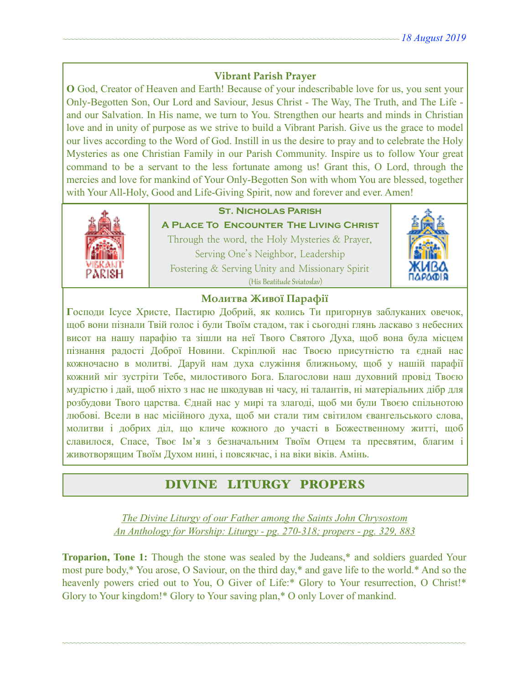### **Vibrant Parish Prayer**

**O** God, Creator of Heaven and Earth! Because of your indescribable love for us, you sent your Only-Begotten Son, Our Lord and Saviour, Jesus Christ - The Way, The Truth, and The Life and our Salvation. In His name, we turn to You. Strengthen our hearts and minds in Christian love and in unity of purpose as we strive to build a Vibrant Parish. Give us the grace to model our lives according to the Word of God. Instill in us the desire to pray and to celebrate the Holy Mysteries as one Christian Family in our Parish Community. Inspire us to follow Your great command to be a servant to the less fortunate among us! Grant this, O Lord, through the mercies and love for mankind of Your Only-Begotten Son with whom You are blessed, together with Your All-Holy, Good and Life-Giving Spirit, now and forever and ever. Amen!



### **St. Nicholas Parish**

**A Place To Encounter The Living Christ** Through the word, the Holy Mysteries & Prayer, Serving One's Neighbor, Leadership Fostering & Serving Unity and Missionary Spirit (His Beatitude Sviatoslav)



#### **Молитва Живої Парафії**

**Г**осподи Ісусе Христе, Пастирю Добрий, як колись Ти пригорнув заблуканих овечок, щоб вони пізнали Твій голос і були Твоїм стадом, так і сьогодні глянь ласкаво з небесних висот на нашу парафію та зішли на неї Твого Святого Духа, щоб вона була місцем пізнання радості Доброї Новини. Скріплюй нас Твоєю присутністю та єднай нас кожночасно в молитві. Даруй нам духа служіння ближньому, щоб у нашій парафії кожний міг зустріти Тебе, милостивого Бога. Благослови наш духовний провід Твоєю мудрістю і дай, щоб ніхто з нас не шкодував ні часу, ні талантів, ні матеріальних дібр для розбудови Твого царства. Єднай нас у мирі та злагоді, щоб ми були Твоєю спільнотою любові. Всели в нас місійного духа, щоб ми стали тим світилом євангельського слова, молитви і добрих діл, що кличе кожного до участі в Божественному житті, щоб славилося, Спасе, Твоє Ім'я з безначальним Твоїм Отцем та пресвятим, благим і животворящим Твоїм Духом нині, і повсякчас, і на віки віків. Амінь.

# DIVINE LITURGY PROPERS

*The Divine Liturgy of our Father among the Saints John Chrysostom An Anthology for Worship: Liturgy - pg. 270-318; propers - pg. 329, 883* 

**Troparion, Tone 1:** Though the stone was sealed by the Judeans,\* and soldiers guarded Your most pure body,\* You arose, O Saviour, on the third day,\* and gave life to the world.\* And so the heavenly powers cried out to You, O Giver of Life:\* Glory to Your resurrection, O Christ!\* Glory to Your kingdom!\* Glory to Your saving plan,\* O only Lover of mankind.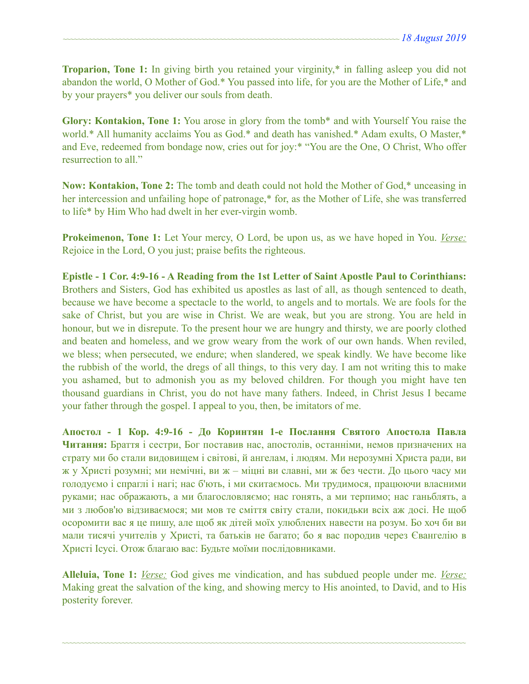**Troparion, Tone 1:** In giving birth you retained your virginity,\* in falling asleep you did not abandon the world, O Mother of God.\* You passed into life, for you are the Mother of Life,\* and by your prayers\* you deliver our souls from death.

**Glory: Kontakion, Tone 1:** You arose in glory from the tomb\* and with Yourself You raise the world.\* All humanity acclaims You as God.\* and death has vanished.\* Adam exults, O Master,\* and Eve, redeemed from bondage now, cries out for joy:\* "You are the One, O Christ, Who offer resurrection to all."

**Now: Kontakion, Tone 2:** The tomb and death could not hold the Mother of God,\* unceasing in her intercession and unfailing hope of patronage,\* for, as the Mother of Life, she was transferred to life\* by Him Who had dwelt in her ever-virgin womb.

**Prokeimenon, Tone 1:** Let Your mercy, O Lord, be upon us, as we have hoped in You. *Verse:* Rejoice in the Lord, O you just; praise befits the righteous.

**Epistle - 1 Cor. 4:9-16 - A Reading from the 1st Letter of Saint Apostle Paul to Corinthians:**  Brothers and Sisters, God has exhibited us apostles as last of all, as though sentenced to death, because we have become a spectacle to the world, to angels and to mortals. We are fools for the sake of Christ, but you are wise in Christ. We are weak, but you are strong. You are held in honour, but we in disrepute. To the present hour we are hungry and thirsty, we are poorly clothed and beaten and homeless, and we grow weary from the work of our own hands. When reviled, we bless; when persecuted, we endure; when slandered, we speak kindly. We have become like the rubbish of the world, the dregs of all things, to this very day. I am not writing this to make you ashamed, but to admonish you as my beloved children. For though you might have ten thousand guardians in Christ, you do not have many fathers. Indeed, in Christ Jesus I became your father through the gospel. I appeal to you, then, be imitators of me.

**Апостол - 1 Кор. 4:9-16 - До Коринтян 1-e Послання Святого Апостола Павла Читання:** Браття і сестри, Бог поставив нас, апостолів, останніми, немов призначених на страту ми бо стали видовищем і світові, й ангелам, і людям. Ми нерозумні Христа ради, ви ж у Христі розумні; ми немічні, ви ж – міцні ви славні, ми ж без чести. До цього часу ми голодуємо і спраглі і нагі; нас б'ють, і ми скитаємось. Ми трудимося, працюючи власними руками; нас ображають, а ми благословляємо; нас гонять, а ми терпимо; нас ганьблять, а ми з любов'ю відзиваємося; ми мов те сміття світу стали, покидьки всіх аж досі. Не щоб осоромити вас я це пишу, але щоб як дітей моїх улюблених навести на розум. Бо хоч би ви мали тисячі учителів у Христі, та батьків не багато; бо я вас породив через Євангелію в Христі Ісусі. Отож благаю вас: Будьте моїми послідовниками.

**Alleluia, Tone 1:** *Verse:* God gives me vindication, and has subdued people under me. *Verse:* Making great the salvation of the king, and showing mercy to His anointed, to David, and to His posterity forever.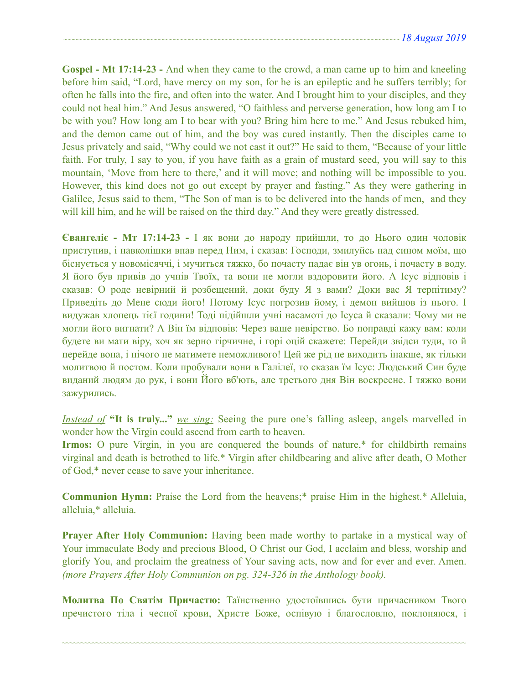**Gospel - Mt 17:14-23 -** And when they came to the crowd, a man came up to him and kneeling before him said, "Lord, have mercy on my son, for he is an epileptic and he suffers terribly; for often he falls into the fire, and often into the water. And I brought him to your disciples, and they could not heal him." And Jesus answered, "O faithless and perverse generation, how long am I to be with you? How long am I to bear with you? Bring him here to me." And Jesus rebuked him, and the demon came out of him, and the boy was cured instantly. Then the disciples came to Jesus privately and said, "Why could we not cast it out?" He said to them, "Because of your little faith. For truly, I say to you, if you have faith as a grain of mustard seed, you will say to this mountain, 'Move from here to there,' and it will move; and nothing will be impossible to you. However, this kind does not go out except by prayer and fasting." As they were gathering in Galilee, Jesus said to them, "The Son of man is to be delivered into the hands of men, and they will kill him, and he will be raised on the third day." And they were greatly distressed.

**Євангеліє - Мт 17:14-23 -** І як вони до народу прийшли, то до Нього один чоловік приступив, і навколішки впав перед Ним, і сказав: Господи, змилуйсь над сином моїм, що біснується у новомісяччі, і мучиться тяжко, бо почасту падає він ув огонь, і почасту в воду. Я його був привів до учнів Твоїх, та вони не могли вздоровити його. А Ісус відповів і сказав: О роде невірний й розбещений, доки буду Я з вами? Доки вас Я терпітиму? Приведіть до Мене сюди його! Потому Ісус погрозив йому, і демон вийшов із нього. І видужав хлопець тієї години! Тоді підійшли учні насамоті до Ісуса й сказали: Чому ми не могли його вигнати? А Він їм відповів: Через ваше невірство. Бо поправді кажу вам: коли будете ви мати віру, хоч як зерно гірчичне, і горі оцій скажете: Перейди звідси туди, то й перейде вона, і нічого не матимете неможливого! Цей же рід не виходить інакше, як тільки молитвою й постом. Коли пробували вони в Галілеї, то сказав їм Ісус: Людський Син буде виданий людям до рук, і вони Його вб'ють, але третього дня Він воскресне. І тяжко вони зажурились.

*Instead of* **"It is truly..."** *we sing:* Seeing the pure one's falling asleep, angels marvelled in wonder how the Virgin could ascend from earth to heaven.

**Irmos:** O pure Virgin, in you are conquered the bounds of nature,\* for childbirth remains virginal and death is betrothed to life.\* Virgin after childbearing and alive after death, O Mother of God,\* never cease to save your inheritance.

**Communion Hymn:** Praise the Lord from the heavens;\* praise Him in the highest.\* Alleluia, alleluia,\* alleluia.

**Prayer After Holy Communion:** Having been made worthy to partake in a mystical way of Your immaculate Body and precious Blood, O Christ our God, I acclaim and bless, worship and glorify You, and proclaim the greatness of Your saving acts, now and for ever and ever. Amen. *(more Prayers After Holy Communion on pg. 324-326 in the Anthology book).* 

**Молитва По Святім Причастю:** Таїнственно удостоївшись бути причасником Твого пречистого тіла і чесної крови, Христе Боже, оспівую і благословлю, поклоняюся, і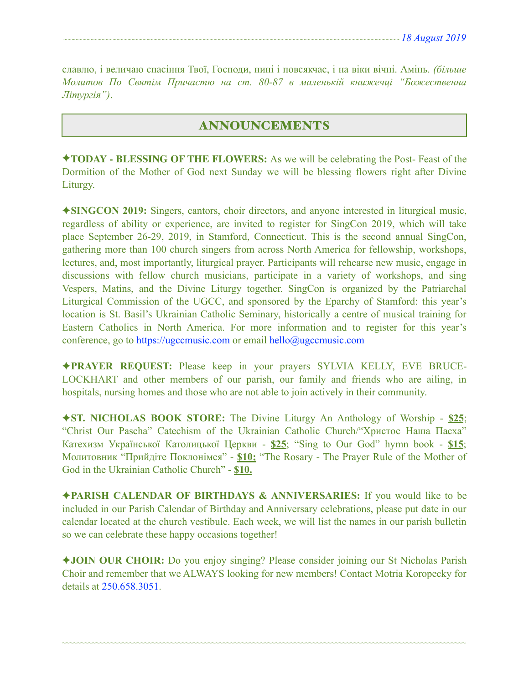славлю, і величаю спасіння Твої, Господи, нині і повсякчас, і на віки вічні. Амінь. *(більше Молитов По Святім Причастю на ст. 80-87 в маленькій книжечці "Божественна Літургія")*.

# ANNOUNCEMENTS

✦**TODAY - BLESSING OF THE FLOWERS:** As we will be celebrating the Post- Feast of the Dormition of the Mother of God next Sunday we will be blessing flowers right after Divine Liturgy.

✦**SINGCON 2019:** Singers, cantors, choir directors, and anyone interested in liturgical music, regardless of ability or experience, are invited to register for SingCon 2019, which will take place September 26-29, 2019, in Stamford, Connecticut. This is the second annual SingCon, gathering more than 100 church singers from across North America for fellowship, workshops, lectures, and, most importantly, liturgical prayer. Participants will rehearse new music, engage in discussions with fellow church musicians, participate in a variety of workshops, and sing Vespers, Matins, and the Divine Liturgy together. SingCon is organized by the Patriarchal Liturgical Commission of the UGCC, and sponsored by the Eparchy of Stamford: this year's location is St. Basil's Ukrainian Catholic Seminary, historically a centre of musical training for Eastern Catholics in North America. For more information and to register for this year's conference, go to [https://ugccmusic.com](https://ugccmusic.com/) or email [hello@ugccmusic.com](mailto:hello@ugccmusic.com)

✦**PRAYER REQUEST:** Please keep in your prayers SYLVIA KELLY, EVE BRUCE-LOCKHART and other members of our parish, our family and friends who are ailing, in hospitals, nursing homes and those who are not able to join actively in their community.

✦**ST. NICHOLAS BOOK STORE:** The Divine Liturgy An Anthology of Worship - **\$25**; "Christ Our Pascha" Catechism of the Ukrainian Catholic Church/"Христос Наша Пасха" Катехизм Української Католицької Церкви - **\$25**; "Sing to Our God" hymn book - **\$15**; Молитовник "Прийдіте Поклонімся" - **\$10;** "The Rosary - The Prayer Rule of the Mother of God in the Ukrainian Catholic Church" - **\$10.** 

✦**PARISH CALENDAR OF BIRTHDAYS & ANNIVERSARIES:** If you would like to be included in our Parish Calendar of Birthday and Anniversary celebrations, please put date in our calendar located at the church vestibule. Each week, we will list the names in our parish bulletin so we can celebrate these happy occasions together!

✦**JOIN OUR CHOIR:** Do you enjoy singing? Please consider joining our St Nicholas Parish Choir and remember that we ALWAYS looking for new members! Contact Motria Koropecky for details at 250.658.3051.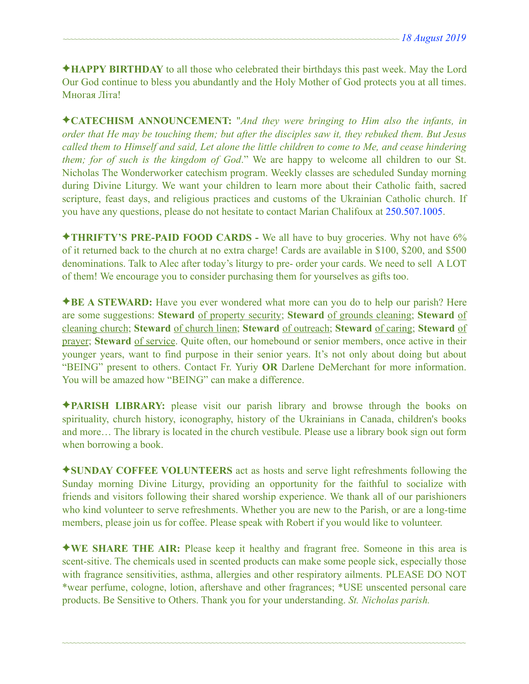✦**HAPPY BIRTHDAY** to all those who celebrated their birthdays this past week. May the Lord Our God continue to bless you abundantly and the Holy Mother of God protects you at all times. Многая Літа!

✦**CATECHISM ANNOUNCEMENT:** "*And they were bringing to Him also the infants, in order that He may be touching them; but after the disciples saw it, they rebuked them. But Jesus called them to Himself and said, Let alone the little children to come to Me, and cease hindering them; for of such is the kingdom of God*." We are happy to welcome all children to our St. Nicholas The Wonderworker catechism program. Weekly classes are scheduled Sunday morning during Divine Liturgy. We want your children to learn more about their Catholic faith, sacred scripture, feast days, and religious practices and customs of the Ukrainian Catholic church. If you have any questions, please do not hesitate to contact Marian Chalifoux at 250.507.1005.

✦**THRIFTY'S PRE-PAID FOOD CARDS -** We all have to buy groceries. Why not have 6% of it returned back to the church at no extra charge! Cards are available in \$100, \$200, and \$500 denominations. Talk to Alec after today's liturgy to pre- order your cards. We need to sell A LOT of them! We encourage you to consider purchasing them for yourselves as gifts too.

✦**BE A STEWARD:** Have you ever wondered what more can you do to help our parish? Here are some suggestions: **Steward** of property security; **Steward** of grounds cleaning; **Steward** of cleaning church; **Steward** of church linen; **Steward** of outreach; **Steward** of caring; **Steward** of prayer; **Steward** of service. Quite often, our homebound or senior members, once active in their younger years, want to find purpose in their senior years. It's not only about doing but about "BEING" present to others. Contact Fr. Yuriy **OR** Darlene DeMerchant for more information. You will be amazed how "BEING" can make a difference.

✦**PARISH LIBRARY:** please visit our parish library and browse through the books on spirituality, church history, iconography, history of the Ukrainians in Canada, children's books and more… The library is located in the church vestibule. Please use a library book sign out form when borrowing a book.

✦**SUNDAY COFFEE VOLUNTEERS** act as hosts and serve light refreshments following the Sunday morning Divine Liturgy, providing an opportunity for the faithful to socialize with friends and visitors following their shared worship experience. We thank all of our parishioners who kind volunteer to serve refreshments. Whether you are new to the Parish, or are a long-time members, please join us for coffee. Please speak with Robert if you would like to volunteer.

✦**WE SHARE THE AIR:** Please keep it healthy and fragrant free. Someone in this area is scent-sitive. The chemicals used in scented products can make some people sick, especially those with fragrance sensitivities, asthma, allergies and other respiratory ailments. PLEASE DO NOT \*wear perfume, cologne, lotion, aftershave and other fragrances; \*USE unscented personal care products. Be Sensitive to Others. Thank you for your understanding. *St. Nicholas parish.*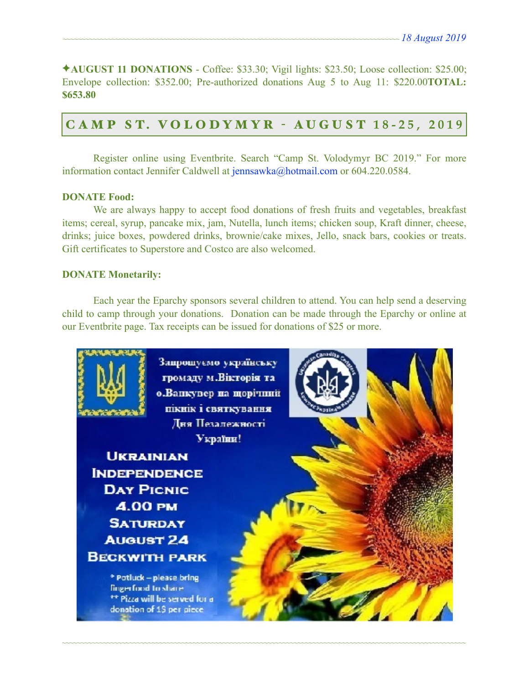✦**AUGUST 11 DONATIONS** - Coffee: \$33.30; Vigil lights: \$23.50; Loose collection: \$25.00; Envelope collection: \$352.00; Pre-authorized donations Aug 5 to Aug 11: \$220.00**TOTAL: \$653.80**

# C A M P S T. V O L O D Y M Y R - AUGUST **18-25, 2019**

 Register online using Eventbrite. Search "Camp St. Volodymyr BC 2019." For more information contact Jennifer Caldwell at [jennsawka@hotmail.com](mailto:jennsawka@hotmail.com) or 604.220.0584.

#### **DONATE Food:**

 We are always happy to accept food donations of fresh fruits and vegetables, breakfast items; cereal, syrup, pancake mix, jam, Nutella, lunch items; chicken soup, Kraft dinner, cheese, drinks; juice boxes, powdered drinks, brownie/cake mixes, Jello, snack bars, cookies or treats. Gift certificates to Superstore and Costco are also welcomed.

#### **DONATE Monetarily:**

 Each year the Eparchy sponsors several children to attend. You can help send a deserving child to camp through your donations. Donation can be made through the Eparchy or online at our Eventbrite page. Tax receipts can be issued for donations of \$25 or more.